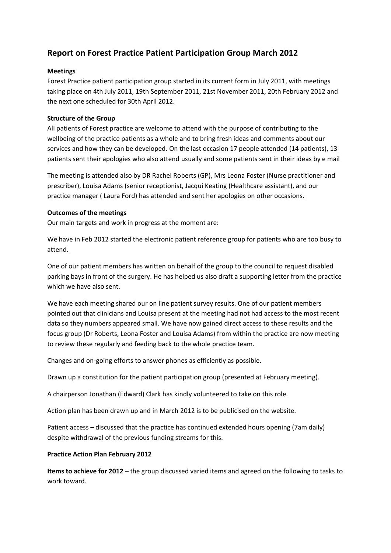# **Report on Forest Practice Patient Participation Group March 2012**

### **Meetings**

Forest Practice patient participation group started in its current form in July 2011, with meetings taking place on 4th July 2011, 19th September 2011, 21st November 2011, 20th February 2012 and the next one scheduled for 30th April 2012.

### **Structure of the Group**

All patients of Forest practice are welcome to attend with the purpose of contributing to the wellbeing of the practice patients as a whole and to bring fresh ideas and comments about our services and how they can be developed. On the last occasion 17 people attended (14 patients), 13 patients sent their apologies who also attend usually and some patients sent in their ideas by e mail

The meeting is attended also by DR Rachel Roberts (GP), Mrs Leona Foster (Nurse practitioner and prescriber), Louisa Adams (senior receptionist, Jacqui Keating (Healthcare assistant), and our practice manager ( Laura Ford) has attended and sent her apologies on other occasions.

### **Outcomes of the meetings**

Our main targets and work in progress at the moment are:

We have in Feb 2012 started the electronic patient reference group for patients who are too busy to attend.

One of our patient members has written on behalf of the group to the council to request disabled parking bays in front of the surgery. He has helped us also draft a supporting letter from the practice which we have also sent.

We have each meeting shared our on line patient survey results. One of our patient members pointed out that clinicians and Louisa present at the meeting had not had access to the most recent data so they numbers appeared small. We have now gained direct access to these results and the focus group (Dr Roberts, Leona Foster and Louisa Adams) from within the practice are now meeting to review these regularly and feeding back to the whole practice team.

Changes and on-going efforts to answer phones as efficiently as possible.

Drawn up a constitution for the patient participation group (presented at February meeting).

A chairperson Jonathan (Edward) Clark has kindly volunteered to take on this role.

Action plan has been drawn up and in March 2012 is to be publicised on the website.

Patient access – discussed that the practice has continued extended hours opening (7am daily) despite withdrawal of the previous funding streams for this.

## **Practice Action Plan February 2012**

**Items to achieve for 2012** – the group discussed varied items and agreed on the following to tasks to work toward.